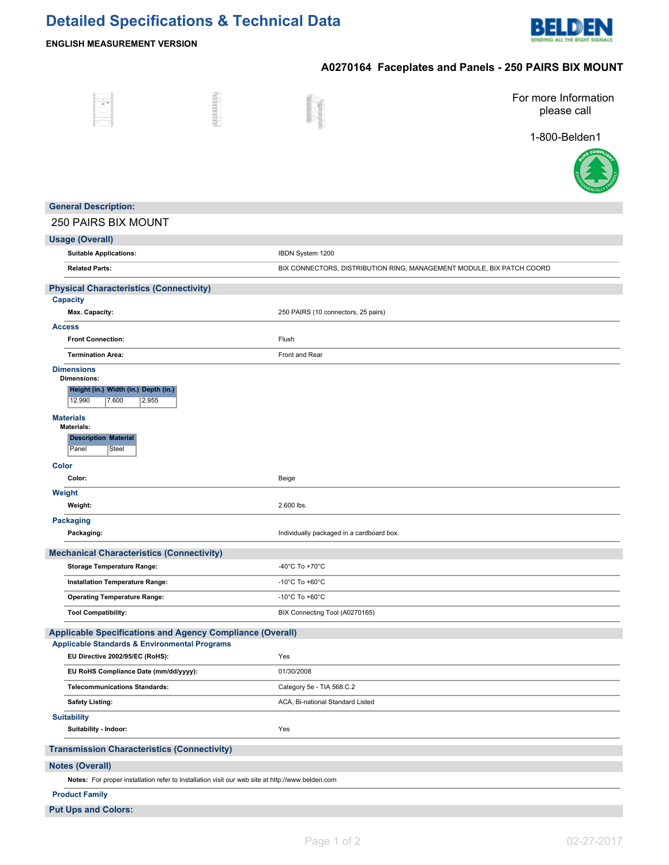# **Detailed Specifications & Technical Data**



### **ENGLISH MEASUREMENT VERSION**

## **A0270164 Faceplates and Panels - 250 PAIRS BIX MOUNT**

|                                                                                                                                                      | <b>Storeda</b> |                                           | For more Information<br>please call                                   |
|------------------------------------------------------------------------------------------------------------------------------------------------------|----------------|-------------------------------------------|-----------------------------------------------------------------------|
|                                                                                                                                                      |                |                                           | 1-800-Belden1                                                         |
|                                                                                                                                                      |                |                                           |                                                                       |
| <b>General Description:</b>                                                                                                                          |                |                                           |                                                                       |
| <b>250 PAIRS BIX MOUNT</b>                                                                                                                           |                |                                           |                                                                       |
| <b>Usage (Overall)</b>                                                                                                                               |                |                                           |                                                                       |
| <b>Suitable Applications:</b>                                                                                                                        |                | IBDN System 1200                          |                                                                       |
| <b>Related Parts:</b>                                                                                                                                |                |                                           | BIX CONNECTORS, DISTRIBUTION RING, MANAGEMENT MODULE, BIX PATCH COORD |
| <b>Physical Characteristics (Connectivity)</b>                                                                                                       |                |                                           |                                                                       |
| <b>Capacity</b><br>Max. Capacity:                                                                                                                    |                | 250 PAIRS (10 connectors, 25 pairs)       |                                                                       |
| <b>Access</b>                                                                                                                                        |                |                                           |                                                                       |
| <b>Front Connection:</b>                                                                                                                             |                | Flush                                     |                                                                       |
| <b>Termination Area:</b>                                                                                                                             |                | Front and Rear                            |                                                                       |
| <b>Dimensions</b><br><b>Dimensions:</b><br>Height (in.) Width (in.) Depth (in.)<br>12.990<br>7.600<br>2.955<br><b>Materials</b><br><b>Materials:</b> |                |                                           |                                                                       |
| <b>Description Material</b><br>Panel<br>Steel<br>Color                                                                                               |                |                                           |                                                                       |
| Color:                                                                                                                                               |                | Beige                                     |                                                                       |
| Weight<br>Weight:                                                                                                                                    |                | 2.600 lbs.                                |                                                                       |
| <b>Packaging</b><br>Packaging:                                                                                                                       |                | Individually packaged in a cardboard box. |                                                                       |
| <b>Mechanical Characteristics (Connectivity)</b>                                                                                                     |                |                                           |                                                                       |
| <b>Storage Temperature Range:</b>                                                                                                                    |                | -40 $^{\circ}$ C To +70 $^{\circ}$ C      |                                                                       |
| Installation Temperature Range:                                                                                                                      |                | -10 $^{\circ}$ C To +60 $^{\circ}$ C      |                                                                       |
| <b>Operating Temperature Range:</b>                                                                                                                  |                | -10 $^{\circ}$ C To +60 $^{\circ}$ C      |                                                                       |
| <b>Tool Compatibility:</b>                                                                                                                           |                | BIX Connecting Tool (A0270165)            |                                                                       |
| Applicable Specifications and Agency Compliance (Overall)<br><b>Applicable Standards &amp; Environmental Programs</b>                                |                |                                           |                                                                       |
| EU Directive 2002/95/EC (RoHS):                                                                                                                      |                | Yes                                       |                                                                       |
| EU RoHS Compliance Date (mm/dd/yyyy):                                                                                                                |                | 01/30/2008                                |                                                                       |
| <b>Telecommunications Standards:</b>                                                                                                                 |                | Category 5e - TIA 568.C.2                 |                                                                       |
| <b>Safety Listing:</b>                                                                                                                               |                | ACA, Bi-national Standard Listed          |                                                                       |
| <b>Suitability</b><br>Suitability - Indoor:                                                                                                          |                | Yes                                       |                                                                       |
|                                                                                                                                                      |                |                                           |                                                                       |
| <b>Transmission Characteristics (Connectivity)</b>                                                                                                   |                |                                           |                                                                       |
| <b>Notes (Overall)</b>                                                                                                                               |                |                                           |                                                                       |
| Notes: For proper installation refer to Installation visit our web site at http://www.belden.com                                                     |                |                                           |                                                                       |
| <b>Product Family</b>                                                                                                                                |                |                                           |                                                                       |
| <b>Put Ups and Colors:</b>                                                                                                                           |                |                                           |                                                                       |